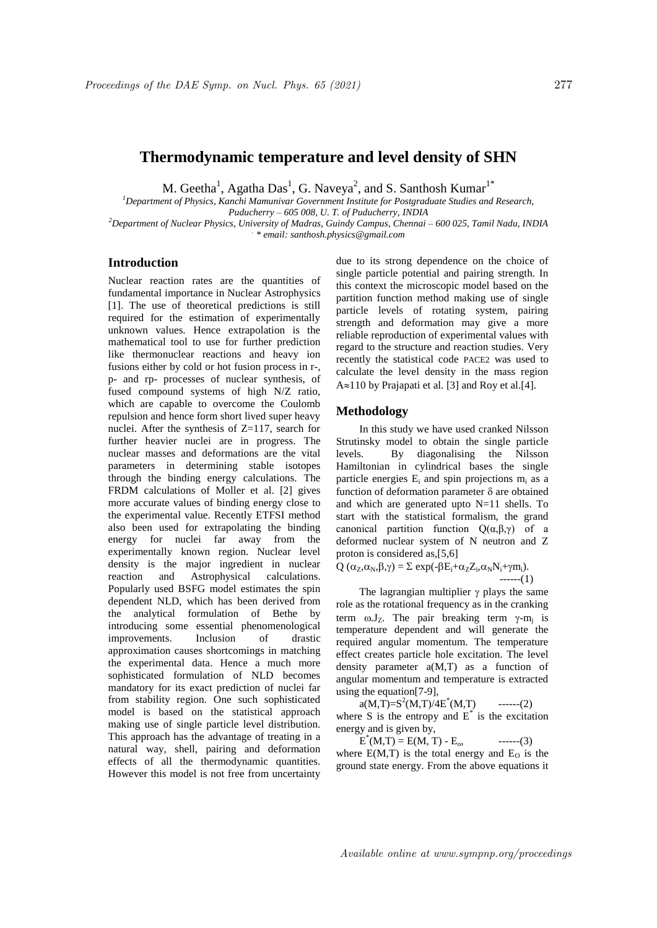# **Thermodynamic temperature and level density of SHN**

M. Geetha<sup>1</sup>, Agatha Das<sup>1</sup>, G. Naveya<sup>2</sup>, and S. Santhosh Kumar<sup>1\*</sup>

*<sup>1</sup>Department of Physics, Kanchi Mamunivar Government Institute for Postgraduate Studies and Research, Puducherry – 605 008, U. T. of Puducherry, INDIA*

*<sup>2</sup>Department of Nuclear Physics, University of Madras, Guindy Campus, Chennai – 600 025, Tamil Nadu, INDIA . \* email: santhosh.physics@gmail.com*

## **Introduction**

Nuclear reaction rates are the quantities of fundamental importance in Nuclear Astrophysics [1]. The use of theoretical predictions is still required for the estimation of experimentally unknown values. Hence extrapolation is the mathematical tool to use for further prediction like thermonuclear reactions and heavy ion fusions either by cold or hot fusion process in r-, p- and rp- processes of nuclear synthesis, of fused compound systems of high N/Z ratio, which are capable to overcome the Coulomb repulsion and hence form short lived super heavy nuclei. After the synthesis of Z=117, search for further heavier nuclei are in progress. The nuclear masses and deformations are the vital parameters in determining stable isotopes through the binding energy calculations. The FRDM calculations of Moller et al. [2] gives more accurate values of binding energy close to the experimental value. Recently ETFSI method also been used for extrapolating the binding energy for nuclei far away from the experimentally known region. Nuclear level density is the major ingredient in nuclear reaction and Astrophysical calculations. Astrophysical calculations. Popularly used BSFG model estimates the spin dependent NLD, which has been derived from the analytical formulation of Bethe by introducing some essential phenomenological improvements. Inclusion of drastic approximation causes shortcomings in matching the experimental data. Hence a much more sophisticated formulation of NLD becomes mandatory for its exact prediction of nuclei far from stability region. One such sophisticated model is based on the statistical approach making use of single particle level distribution. This approach has the advantage of treating in a natural way, shell, pairing and deformation effects of all the thermodynamic quantities. However this model is not free from uncertainty due to its strong dependence on the choice of single particle potential and pairing strength. In this context the microscopic model based on the partition function method making use of single particle levels of rotating system, pairing strength and deformation may give a more reliable reproduction of experimental values with regard to the structure and reaction studies. Very recently the statistical code PACE2 was used to calculate the level density in the mass region  $A \approx 110$  by Prajapati et al. [3] and Roy et al. [4].

#### **Methodology**

In this study we have used cranked Nilsson Strutinsky model to obtain the single particle levels. By diagonalising the Nilsson Hamiltonian in cylindrical bases the single particle energies  $E_i$  and spin projections  $m_i$  as a function of deformation parameter  $\delta$  are obtained and which are generated upto N=11 shells. To start with the statistical formalism, the grand canonical partition function Q(α,β,γ) of a deformed nuclear system of N neutron and Z proton is considered as,[5,6]

$$
Q(\alpha_{Z}, \alpha_{N}, \beta, \gamma) = \Sigma \exp(-\beta E_{i} + \alpha_{Z} Z_{i}, \alpha_{N} N_{i} + \gamma m_{i}).
$$
  
-----(1)

The lagrangian multiplier  $\gamma$  plays the same role as the rotational frequency as in the cranking term  $\omega J_z$ . The pair breaking term  $\gamma$ -m<sub>j</sub> is temperature dependent and will generate the required angular momentum. The temperature effect creates particle hole excitation. The level density parameter a(M,T) as a function of angular momentum and temperature is extracted using the equation[7-9],

 $a(M, T)=S^2(M, T)/4E^*$  $---(2)$ where S is the entropy and  $E^*$  is the excitation energy and is given by,

 $E^*(M,T) = E(M,T) - E_0,$  ------(3) where  $E(M,T)$  is the total energy and  $E_0$  is the ground state energy. From the above equations it

Available online at www.sympnp.org/proceedings